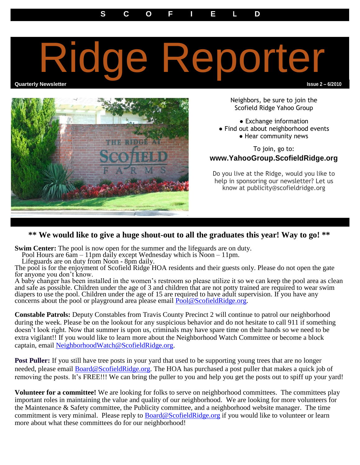## e Reporter

**Quarterly Newsletter Issue 2 – 6/2010**



Neighbors, be sure to join the Scofield Ridge Yahoo Group

● Exchange information

- Find out about neighborhood events
	- Hear community news

To join, go to: **www.YahooGroup.ScofieldRidge.org**

Do you live at the Ridge, would you like to help in sponsoring our newsletter? Let us know at publicity@scofieldridge.org

## **\*\* We would like to give a huge shout-out to all the graduates this year! Way to go! \*\***

**Swim Center:** The pool is now open for the summer and the lifeguards are on duty.

Pool Hours are 6am – 11pm daily except Wednesday which is Noon – 11pm.

Lifeguards are on duty from Noon - 8pm daily.

The pool is for the enjoyment of Scofield Ridge HOA residents and their guests only. Please do not open the gate for anyone you don't know.

A baby changer has been installed in the women's restroom so please utilize it so we can keep the pool area as clean and safe as possible. Children under the age of 3 and children that are not potty trained are required to wear swim diapers to use the pool. Children under the age of 15 are required to have adult supervision. If you have any concerns about the pool or playground area please email [Pool@ScofieldRidge.org.](mailto:Pool@ScofieldRidge.org)

**Constable Patrols:** Deputy Constables from Travis County Precinct 2 will continue to patrol our neighborhood during the week. Please be on the lookout for any suspicious behavior and do not hesitate to call 911 if something doesn't look right. Now that summer is upon us, criminals may have spare time on their hands so we need to be extra vigilant!! If you would like to learn more about the Neighborhood Watch Committee or become a block captain, email [NeighborhoodWatch@ScofieldRidge.org.](mailto:NeighborhoodWatch@ScofieldRidge.org)

**Post Puller:** If you still have tree posts in your yard that used to be supporting young trees that are no longer needed, please email **Board@ScofieldRidge.org**. The HOA has purchased a post puller that makes a quick job of removing the posts. It's FREE!!! We can bring the puller to you and help you get the posts out to spiff up your yard!

**Volunteer for a committee!** We are looking for folks to serve on neighborhood committees. The committees play important roles in maintaining the value and quality of our neighborhood. We are looking for more volunteers for the Maintenance & Safety committee, the Publicity committee, and a neighborhood website manager. The time commitment is very minimal. Please reply to [Board@ScofieldRidge.org](mailto:Board@ScofieldRidge.org) if you would like to volunteer or learn more about what these committees do for our neighborhood!